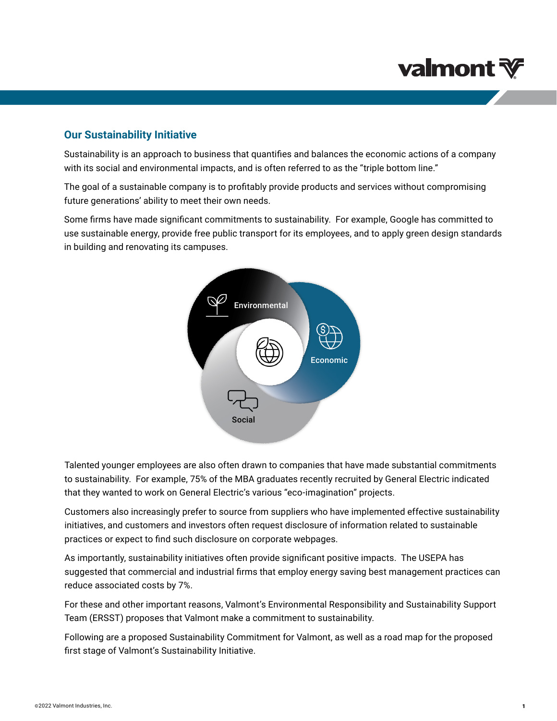# **valmont ₹**

### **Our Sustainability Initiative**

Sustainability is an approach to business that quantifies and balances the economic actions of a company with its social and environmental impacts, and is often referred to as the "triple bottom line."

The goal of a sustainable company is to profitably provide products and services without compromising future generations' ability to meet their own needs.

Some firms have made significant commitments to sustainability. For example, Google has committed to use sustainable energy, provide free public transport for its employees, and to apply green design standards in building and renovating its campuses.



Talented younger employees are also often drawn to companies that have made substantial commitments to sustainability. For example, 75% of the MBA graduates recently recruited by General Electric indicated that they wanted to work on General Electric's various "eco-imagination" projects.

Customers also increasingly prefer to source from suppliers who have implemented effective sustainability initiatives, and customers and investors often request disclosure of information related to sustainable practices or expect to find such disclosure on corporate webpages.

As importantly, sustainability initiatives often provide significant positive impacts. The USEPA has suggested that commercial and industrial firms that employ energy saving best management practices can reduce associated costs by 7%.

For these and other important reasons, Valmont's Environmental Responsibility and Sustainability Support Team (ERSST) proposes that Valmont make a commitment to sustainability.

Following are a proposed Sustainability Commitment for Valmont, as well as a road map for the proposed first stage of Valmont's Sustainability Initiative.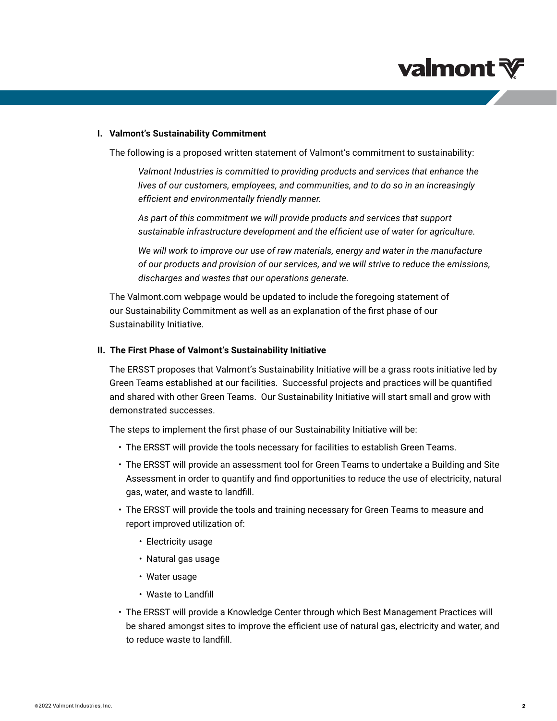# **valmont**

### **I. Valmont's Sustainability Commitment**

The following is a proposed written statement of Valmont's commitment to sustainability:

*Valmont Industries is committed to providing products and services that enhance the lives of our customers, employees, and communities, and to do so in an increasingly efficient and environmentally friendly manner.*

*As part of this commitment we will provide products and services that support sustainable infrastructure development and the efficient use of water for agriculture.* 

*We will work to improve our use of raw materials, energy and water in the manufacture of our products and provision of our services, and we will strive to reduce the emissions, discharges and wastes that our operations generate.*

The Valmont.com webpage would be updated to include the foregoing statement of our Sustainability Commitment as well as an explanation of the first phase of our Sustainability Initiative.

### **II. The First Phase of Valmont's Sustainability Initiative**

The ERSST proposes that Valmont's Sustainability Initiative will be a grass roots initiative led by Green Teams established at our facilities. Successful projects and practices will be quantified and shared with other Green Teams. Our Sustainability Initiative will start small and grow with demonstrated successes.

The steps to implement the first phase of our Sustainability Initiative will be:

- The ERSST will provide the tools necessary for facilities to establish Green Teams.
- The ERSST will provide an assessment tool for Green Teams to undertake a Building and Site Assessment in order to quantify and find opportunities to reduce the use of electricity, natural gas, water, and waste to landfill.
- The ERSST will provide the tools and training necessary for Green Teams to measure and report improved utilization of:
	- Electricity usage
	- Natural gas usage
	- Water usage
	- Waste to Landfill
- The ERSST will provide a Knowledge Center through which Best Management Practices will be shared amongst sites to improve the efficient use of natural gas, electricity and water, and to reduce waste to landfill.